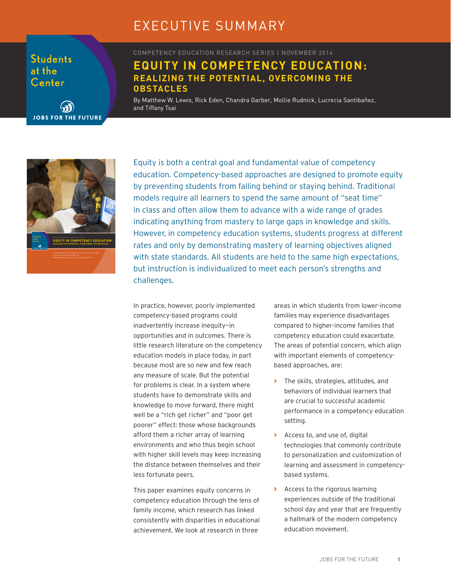# EXECUTIVE SUMMARY

**Students** at the Center



COMPETENCY EDUCATION RESEARCH SERIES | NOVEMBER 2014

## **EQUITY IN COMPETENCY EDUCATION: REALIZING THE POTENTIAL, OVERCOMING THE OBSTACLES**

By Matthew W. Lewis, Rick Eden, Chandra Garber, Mollie Rudnick, Lucrecia Santibañez, and Tiffany Tsai



Equity is both a central goal and fundamental value of competency education. Competency-based approaches are designed to promote equity by preventing students from falling behind or staying behind. Traditional models require all learners to spend the same amount of "seat time" in class and often allow them to advance with a wide range of grades indicating anything from mastery to large gaps in knowledge and skills. However, in competency education systems, students progress at different rates and only by demonstrating mastery of learning objectives aligned with state standards. All students are held to the same high expectations, but instruction is individualized to meet each person's strengths and challenges.

In practice, however, poorly implemented competency-based programs could inadvertently increase inequity—in opportunities and in outcomes. There is little research literature on the competency education models in place today, in part because most are so new and few reach any measure of scale. But the potential for problems is clear. In a system where students have to demonstrate skills and knowledge to move forward, there might well be a "rich get richer" and "poor get poorer" effect: those whose backgrounds afford them a richer array of learning environments and who thus begin school with higher skill levels may keep increasing the distance between themselves and their less fortunate peers.

This paper examines equity concerns in competency education through the lens of family income, which research has linked consistently with disparities in educational achievement. We look at research in three

areas in which students from lower-income families may experience disadvantages compared to higher-income families that competency education could exacerbate. The areas of potential concern, which align with important elements of competencybased approaches, are:

- **>** The skills, strategies, attitudes, and behaviors of individual learners that are crucial to successful academic performance in a competency education setting.
- **>** Access to, and use of, digital technologies that commonly contribute to personalization and customization of learning and assessment in competencybased systems.
- **>** Access to the rigorous learning experiences outside of the traditional school day and year that are frequently a hallmark of the modern competency education movement.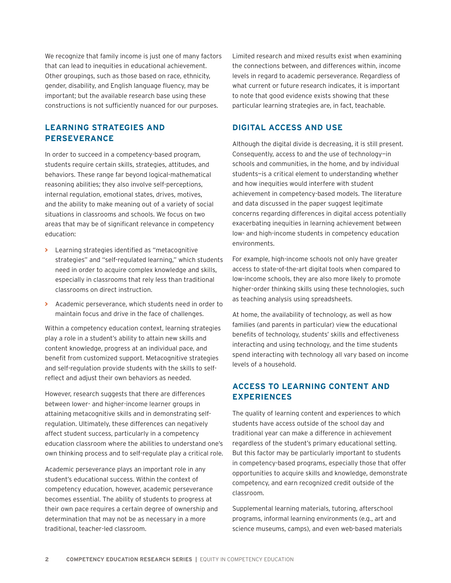We recognize that family income is just one of many factors that can lead to inequities in educational achievement. Other groupings, such as those based on race, ethnicity, gender, disability, and English language fluency, may be important; but the available research base using these constructions is not sufficiently nuanced for our purposes.

#### **LEARNING STRATEGIES AND PERSEVERANCE**

In order to succeed in a competency-based program, students require certain skills, strategies, attitudes, and behaviors. These range far beyond logical-mathematical reasoning abilities; they also involve self-perceptions, internal regulation, emotional states, drives, motives, and the ability to make meaning out of a variety of social situations in classrooms and schools. We focus on two areas that may be of significant relevance in competency education:

- **>** Learning strategies identified as "metacognitive strategies" and "self-regulated learning," which students need in order to acquire complex knowledge and skills, especially in classrooms that rely less than traditional classrooms on direct instruction.
- **>** Academic perseverance, which students need in order to maintain focus and drive in the face of challenges.

Within a competency education context, learning strategies play a role in a student's ability to attain new skills and content knowledge, progress at an individual pace, and benefit from customized support. Metacognitive strategies and self-regulation provide students with the skills to selfreflect and adjust their own behaviors as needed.

However, research suggests that there are differences between lower- and higher-income learner groups in attaining metacognitive skills and in demonstrating selfregulation. Ultimately, these differences can negatively affect student success, particularly in a competency education classroom where the abilities to understand one's own thinking process and to self-regulate play a critical role.

Academic perseverance plays an important role in any student's educational success. Within the context of competency education, however, academic perseverance becomes essential. The ability of students to progress at their own pace requires a certain degree of ownership and determination that may not be as necessary in a more traditional, teacher-led classroom.

Limited research and mixed results exist when examining the connections between, and differences within, income levels in regard to academic perseverance. Regardless of what current or future research indicates, it is important to note that good evidence exists showing that these particular learning strategies are, in fact, teachable.

#### **DIGITAL ACCESS AND USE**

Although the digital divide is decreasing, it is still present. Consequently, access to and the use of technology—in schools and communities, in the home, and by individual students—is a critical element to understanding whether and how inequities would interfere with student achievement in competency-based models. The literature and data discussed in the paper suggest legitimate concerns regarding differences in digital access potentially exacerbating inequities in learning achievement between low- and high-income students in competency education environments.

For example, high-income schools not only have greater access to state-of-the-art digital tools when compared to low-income schools, they are also more likely to promote higher-order thinking skills using these technologies, such as teaching analysis using spreadsheets.

At home, the availability of technology, as well as how families (and parents in particular) view the educational benefits of technology, students' skills and effectiveness interacting and using technology, and the time students spend interacting with technology all vary based on income levels of a household.

#### **ACCESS TO LEARNING CONTENT AND EXPERIENCES**

The quality of learning content and experiences to which students have access outside of the school day and traditional year can make a difference in achievement regardless of the student's primary educational setting. But this factor may be particularly important to students in competency-based programs, especially those that offer opportunities to acquire skills and knowledge, demonstrate competency, and earn recognized credit outside of the classroom.

Supplemental learning materials, tutoring, afterschool programs, informal learning environments (e.g., art and science museums, camps), and even web-based materials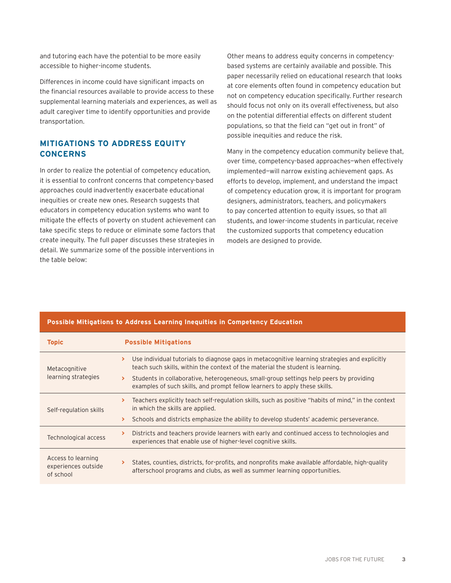and tutoring each have the potential to be more easily accessible to higher-income students.

Differences in income could have significant impacts on the financial resources available to provide access to these supplemental learning materials and experiences, as well as adult caregiver time to identify opportunities and provide transportation.

### **MITIGATIONS TO ADDRESS EQUITY CONCERNS**

In order to realize the potential of competency education, it is essential to confront concerns that competency-based approaches could inadvertently exacerbate educational inequities or create new ones. Research suggests that educators in competency education systems who want to mitigate the effects of poverty on student achievement can take specific steps to reduce or eliminate some factors that create inequity. The full paper discusses these strategies in detail. We summarize some of the possible interventions in the table below:

Other means to address equity concerns in competencybased systems are certainly available and possible. This paper necessarily relied on educational research that looks at core elements often found in competency education but not on competency education specifically. Further research should focus not only on its overall effectiveness, but also on the potential differential effects on different student populations, so that the field can "get out in front" of possible inequities and reduce the risk.

Many in the competency education community believe that, over time, competency-based approaches—when effectively implemented—will narrow existing achievement gaps. As efforts to develop, implement, and understand the impact of competency education grow, it is important for program designers, administrators, teachers, and policymakers to pay concerted attention to equity issues, so that all students, and lower-income students in particular, receive the customized supports that competency education models are designed to provide.

| <b>Topic</b>                                           | <b>Possible Mitigations</b>                                                                                                                                                          |
|--------------------------------------------------------|--------------------------------------------------------------------------------------------------------------------------------------------------------------------------------------|
| Metacognitive<br>learning strategies                   | Use individual tutorials to diagnose gaps in metacognitive learning strategies and explicitly<br>≻<br>teach such skills, within the context of the material the student is learning. |
|                                                        | Students in collaborative, heterogeneous, small-group settings help peers by providing<br>examples of such skills, and prompt fellow learners to apply these skills.                 |
| Self-regulation skills                                 | Teachers explicitly teach self-regulation skills, such as positive "habits of mind," in the context<br>×.<br>in which the skills are applied.                                        |
|                                                        | Schools and districts emphasize the ability to develop students' academic perseverance.                                                                                              |
| Technological access                                   | Districts and teachers provide learners with early and continued access to technologies and<br>⋗<br>experiences that enable use of higher-level cognitive skills.                    |
| Access to learning<br>experiences outside<br>of school | States, counties, districts, for-profits, and nonprofits make available affordable, high-quality<br>afterschool programs and clubs, as well as summer learning opportunities.        |

#### **Possible Mitigations to Address Learning Inequities in Competency Education**